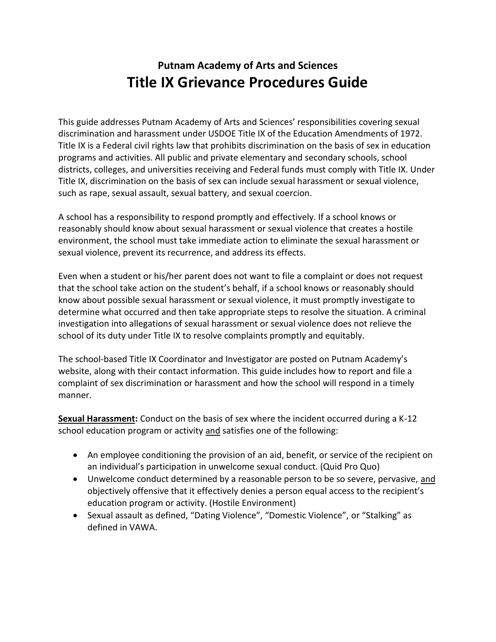# **Putnam Academy of Arts and Sciences Title IX Grievance Procedures Guide**

This guide addresses Putnam Academy of Arts and Sciences' responsibilities covering sexual discrimination and harassment under USDOE Title IX of the Education Amendments of 1972. Title IX is a Federal civil rights law that prohibits discrimination on the basis of sex in education programs and activities. All public and private elementary and secondary schools, school districts, colleges, and universities receiving and Federal funds must comply with Title IX. Under Title IX, discrimination on the basis of sex can include sexual harassment or sexual violence, such as rape, sexual assault, sexual battery, and sexual coercion.

A school has a responsibility to respond promptly and effectively. If a school knows or reasonably should know about sexual harassment or sexual violence that creates a hostile environment, the school must take immediate action to eliminate the sexual harassment or sexual violence, prevent its recurrence, and address its effects.

Even when a student or his/her parent does not want to file a complaint or does not request that the school take action on the student's behalf, if a school knows or reasonably should know about possible sexual harassment or sexual violence, it must promptly investigate to determine what occurred and then take appropriate steps to resolve the situation. A criminal investigation into allegations of sexual harassment or sexual violence does not relieve the school of its duty under Title IX to resolve complaints promptly and equitably.

The school-based Title IX Coordinator and Investigator are posted on Putnam Academy's website, along with their contact information. This guide includes how to report and file a complaint of sex discrimination or harassment and how the school will respond in a timely manner.

**Sexual Harassment:** Conduct on the basis of sex where the incident occurred during a K-12 school education program or activity and satisfies one of the following:

- An employee conditioning the provision of an aid, benefit, or service of the recipient on an individual's participation in unwelcome sexual conduct. (Quid Pro Quo)
- Unwelcome conduct determined by a reasonable person to be so severe, pervasive, and objectively offensive that it effectively denies a person equal access to the recipient's education program or activity. (Hostile Environment)
- Sexual assault as defined, "Dating Violence", "Domestic Violence", or "Stalking" as defined in VAWA.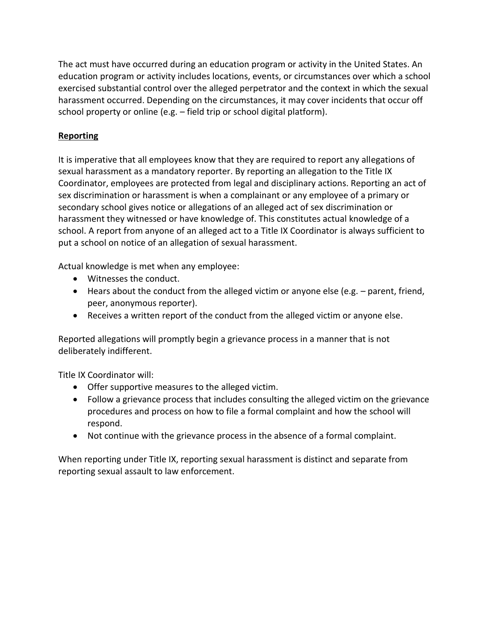The act must have occurred during an education program or activity in the United States. An education program or activity includes locations, events, or circumstances over which a school exercised substantial control over the alleged perpetrator and the context in which the sexual harassment occurred. Depending on the circumstances, it may cover incidents that occur off school property or online (e.g. – field trip or school digital platform).

### **Reporting**

It is imperative that all employees know that they are required to report any allegations of sexual harassment as a mandatory reporter. By reporting an allegation to the Title IX Coordinator, employees are protected from legal and disciplinary actions. Reporting an act of sex discrimination or harassment is when a complainant or any employee of a primary or secondary school gives notice or allegations of an alleged act of sex discrimination or harassment they witnessed or have knowledge of. This constitutes actual knowledge of a school. A report from anyone of an alleged act to a Title IX Coordinator is always sufficient to put a school on notice of an allegation of sexual harassment.

Actual knowledge is met when any employee:

- Witnesses the conduct.
- Hears about the conduct from the alleged victim or anyone else (e.g. parent, friend, peer, anonymous reporter).
- Receives a written report of the conduct from the alleged victim or anyone else.

Reported allegations will promptly begin a grievance process in a manner that is not deliberately indifferent.

Title IX Coordinator will:

- Offer supportive measures to the alleged victim.
- Follow a grievance process that includes consulting the alleged victim on the grievance procedures and process on how to file a formal complaint and how the school will respond.
- Not continue with the grievance process in the absence of a formal complaint.

When reporting under Title IX, reporting sexual harassment is distinct and separate from reporting sexual assault to law enforcement.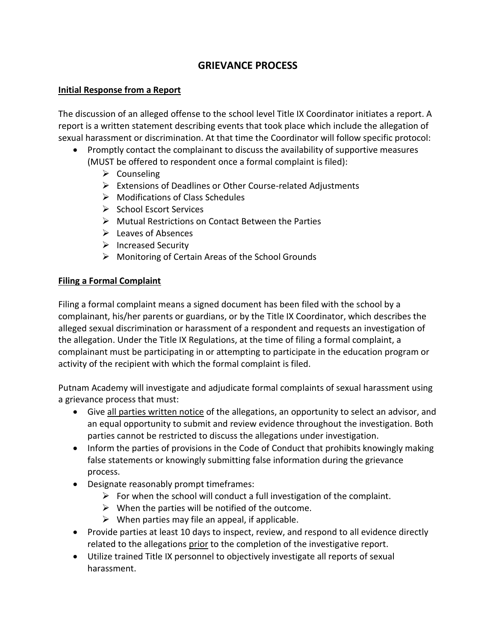# **GRIEVANCE PROCESS**

#### **Initial Response from a Report**

The discussion of an alleged offense to the school level Title IX Coordinator initiates a report. A report is a written statement describing events that took place which include the allegation of sexual harassment or discrimination. At that time the Coordinator will follow specific protocol:

- Promptly contact the complainant to discuss the availability of supportive measures (MUST be offered to respondent once a formal complaint is filed):
	- $\triangleright$  Counseling
	- $\triangleright$  Extensions of Deadlines or Other Course-related Adjustments
	- $\triangleright$  Modifications of Class Schedules
	- $\triangleright$  School Escort Services
	- Mutual Restrictions on Contact Between the Parties
	- $\triangleright$  Leaves of Absences
	- $\triangleright$  Increased Security
	- $\triangleright$  Monitoring of Certain Areas of the School Grounds

#### **Filing a Formal Complaint**

Filing a formal complaint means a signed document has been filed with the school by a complainant, his/her parents or guardians, or by the Title IX Coordinator, which describes the alleged sexual discrimination or harassment of a respondent and requests an investigation of the allegation. Under the Title IX Regulations, at the time of filing a formal complaint, a complainant must be participating in or attempting to participate in the education program or activity of the recipient with which the formal complaint is filed.

Putnam Academy will investigate and adjudicate formal complaints of sexual harassment using a grievance process that must:

- Give all parties written notice of the allegations, an opportunity to select an advisor, and an equal opportunity to submit and review evidence throughout the investigation. Both parties cannot be restricted to discuss the allegations under investigation.
- Inform the parties of provisions in the Code of Conduct that prohibits knowingly making false statements or knowingly submitting false information during the grievance process.
- Designate reasonably prompt timeframes:
	- $\triangleright$  For when the school will conduct a full investigation of the complaint.
	- $\triangleright$  When the parties will be notified of the outcome.
	- $\triangleright$  When parties may file an appeal, if applicable.
- Provide parties at least 10 days to inspect, review, and respond to all evidence directly related to the allegations prior to the completion of the investigative report.
- Utilize trained Title IX personnel to objectively investigate all reports of sexual harassment.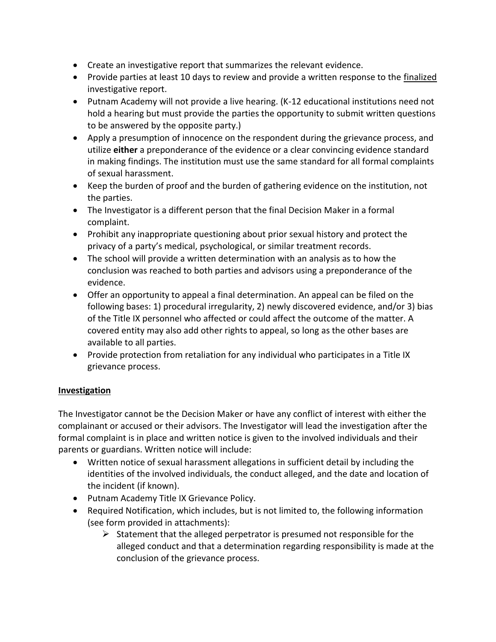- Create an investigative report that summarizes the relevant evidence.
- Provide parties at least 10 days to review and provide a written response to the finalized investigative report.
- Putnam Academy will not provide a live hearing. (K-12 educational institutions need not hold a hearing but must provide the parties the opportunity to submit written questions to be answered by the opposite party.)
- Apply a presumption of innocence on the respondent during the grievance process, and utilize **either** a preponderance of the evidence or a clear convincing evidence standard in making findings. The institution must use the same standard for all formal complaints of sexual harassment.
- Keep the burden of proof and the burden of gathering evidence on the institution, not the parties.
- The Investigator is a different person that the final Decision Maker in a formal complaint.
- Prohibit any inappropriate questioning about prior sexual history and protect the privacy of a party's medical, psychological, or similar treatment records.
- The school will provide a written determination with an analysis as to how the conclusion was reached to both parties and advisors using a preponderance of the evidence.
- Offer an opportunity to appeal a final determination. An appeal can be filed on the following bases: 1) procedural irregularity, 2) newly discovered evidence, and/or 3) bias of the Title IX personnel who affected or could affect the outcome of the matter. A covered entity may also add other rights to appeal, so long as the other bases are available to all parties.
- Provide protection from retaliation for any individual who participates in a Title IX grievance process.

### **Investigation**

The Investigator cannot be the Decision Maker or have any conflict of interest with either the complainant or accused or their advisors. The Investigator will lead the investigation after the formal complaint is in place and written notice is given to the involved individuals and their parents or guardians. Written notice will include:

- Written notice of sexual harassment allegations in sufficient detail by including the identities of the involved individuals, the conduct alleged, and the date and location of the incident (if known).
- Putnam Academy Title IX Grievance Policy.
- Required Notification, which includes, but is not limited to, the following information (see form provided in attachments):
	- $\triangleright$  Statement that the alleged perpetrator is presumed not responsible for the alleged conduct and that a determination regarding responsibility is made at the conclusion of the grievance process.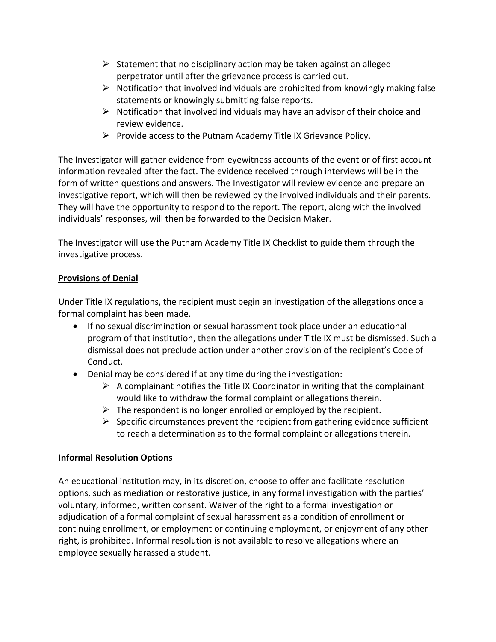- $\triangleright$  Statement that no disciplinary action may be taken against an alleged perpetrator until after the grievance process is carried out.
- $\triangleright$  Notification that involved individuals are prohibited from knowingly making false statements or knowingly submitting false reports.
- $\triangleright$  Notification that involved individuals may have an advisor of their choice and review evidence.
- $\triangleright$  Provide access to the Putnam Academy Title IX Grievance Policy.

The Investigator will gather evidence from eyewitness accounts of the event or of first account information revealed after the fact. The evidence received through interviews will be in the form of written questions and answers. The Investigator will review evidence and prepare an investigative report, which will then be reviewed by the involved individuals and their parents. They will have the opportunity to respond to the report. The report, along with the involved individuals' responses, will then be forwarded to the Decision Maker.

The Investigator will use the Putnam Academy Title IX Checklist to guide them through the investigative process.

## **Provisions of Denial**

Under Title IX regulations, the recipient must begin an investigation of the allegations once a formal complaint has been made.

- If no sexual discrimination or sexual harassment took place under an educational program of that institution, then the allegations under Title IX must be dismissed. Such a dismissal does not preclude action under another provision of the recipient's Code of Conduct.
- Denial may be considered if at any time during the investigation:
	- $\triangleright$  A complainant notifies the Title IX Coordinator in writing that the complainant would like to withdraw the formal complaint or allegations therein.
	- $\triangleright$  The respondent is no longer enrolled or employed by the recipient.
	- $\triangleright$  Specific circumstances prevent the recipient from gathering evidence sufficient to reach a determination as to the formal complaint or allegations therein.

## **Informal Resolution Options**

An educational institution may, in its discretion, choose to offer and facilitate resolution options, such as mediation or restorative justice, in any formal investigation with the parties' voluntary, informed, written consent. Waiver of the right to a formal investigation or adjudication of a formal complaint of sexual harassment as a condition of enrollment or continuing enrollment, or employment or continuing employment, or enjoyment of any other right, is prohibited. Informal resolution is not available to resolve allegations where an employee sexually harassed a student.